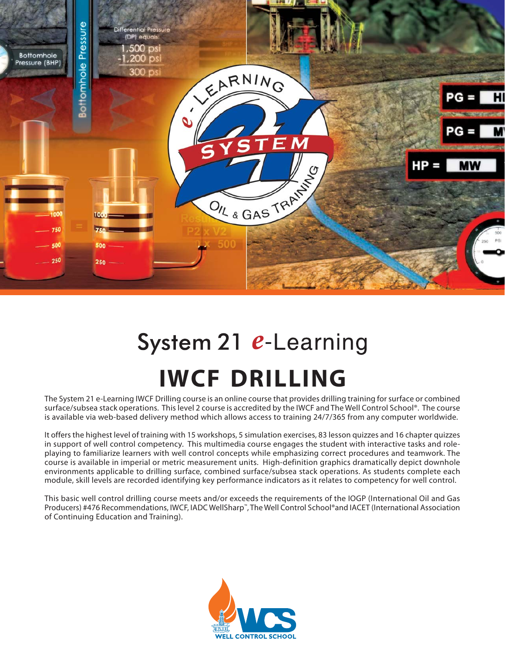

# System 21 e-Learning **IWCF DRILLING**

The System 21 e-Learning IWCF Drilling course is an online course that provides drilling training for surface or combined surface/subsea stack operations. This level 2 course is accredited by the IWCF and The Well Control School®. The course is available via web-based delivery method which allows access to training 24/7/365 from any computer worldwide.

It offers the highest level of training with 15 workshops, 5 simulation exercises, 83 lesson quizzes and 16 chapter quizzes in support of well control competency. This multimedia course engages the student with interactive tasks and roleplaying to familiarize learners with well control concepts while emphasizing correct procedures and teamwork. The course is available in imperial or metric measurement units. High-definition graphics dramatically depict downhole environments applicable to drilling surface, combined surface/subsea stack operations. As students complete each module, skill levels are recorded identifying key performance indicators as it relates to competency for well control.

This basic well control drilling course meets and/or exceeds the requirements of the IOGP (International Oil and Gas Producers) #476 Recommendations, IWCF, IADC WellSharp™, The Well Control School®and IACET (International Association of Continuing Education and Training).